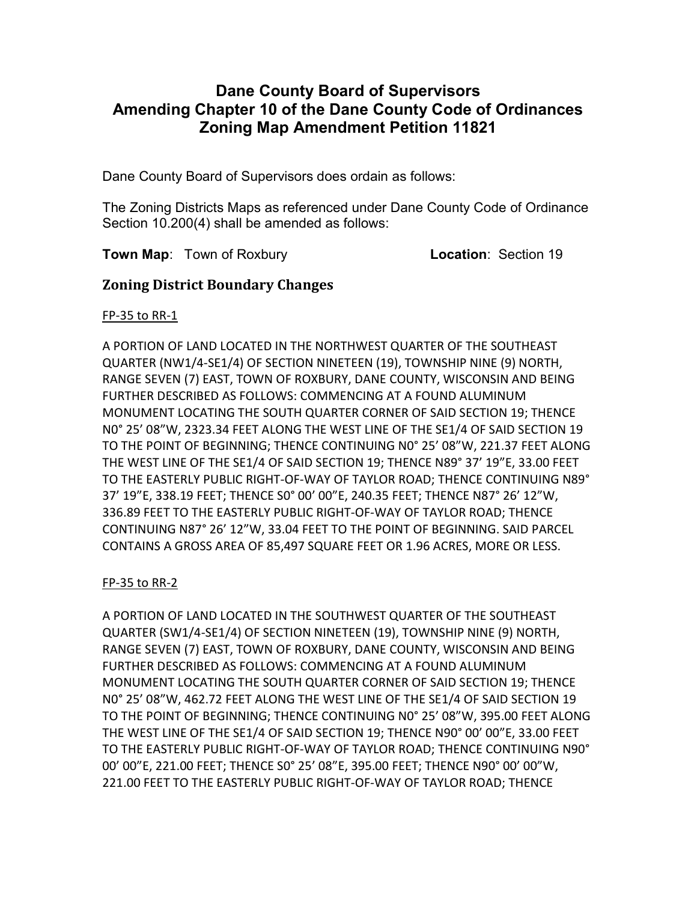## Dane County Board of Supervisors Amending Chapter 10 of the Dane County Code of Ordinances Zoning Map Amendment Petition 11821

Dane County Board of Supervisors does ordain as follows:

The Zoning Districts Maps as referenced under Dane County Code of Ordinance Section 10.200(4) shall be amended as follows:

**Town Map:** Town of Roxbury **Location: Section 19** 

### Zoning District Boundary Changes

FP-35 to RR-1

A PORTION OF LAND LOCATED IN THE NORTHWEST QUARTER OF THE SOUTHEAST QUARTER (NW1/4-SE1/4) OF SECTION NINETEEN (19), TOWNSHIP NINE (9) NORTH, RANGE SEVEN (7) EAST, TOWN OF ROXBURY, DANE COUNTY, WISCONSIN AND BEING FURTHER DESCRIBED AS FOLLOWS: COMMENCING AT A FOUND ALUMINUM MONUMENT LOCATING THE SOUTH QUARTER CORNER OF SAID SECTION 19; THENCE N0° 25' 08"W, 2323.34 FEET ALONG THE WEST LINE OF THE SE1/4 OF SAID SECTION 19 TO THE POINT OF BEGINNING; THENCE CONTINUING N0° 25' 08"W, 221.37 FEET ALONG THE WEST LINE OF THE SE1/4 OF SAID SECTION 19; THENCE N89° 37' 19"E, 33.00 FEET TO THE EASTERLY PUBLIC RIGHT-OF-WAY OF TAYLOR ROAD; THENCE CONTINUING N89° 37' 19"E, 338.19 FEET; THENCE S0° 00' 00"E, 240.35 FEET; THENCE N87° 26' 12"W, 336.89 FEET TO THE EASTERLY PUBLIC RIGHT-OF-WAY OF TAYLOR ROAD; THENCE CONTINUING N87° 26' 12"W, 33.04 FEET TO THE POINT OF BEGINNING. SAID PARCEL CONTAINS A GROSS AREA OF 85,497 SQUARE FEET OR 1.96 ACRES, MORE OR LESS.

#### FP-35 to RR-2

A PORTION OF LAND LOCATED IN THE SOUTHWEST QUARTER OF THE SOUTHEAST QUARTER (SW1/4-SE1/4) OF SECTION NINETEEN (19), TOWNSHIP NINE (9) NORTH, RANGE SEVEN (7) EAST, TOWN OF ROXBURY, DANE COUNTY, WISCONSIN AND BEING FURTHER DESCRIBED AS FOLLOWS: COMMENCING AT A FOUND ALUMINUM MONUMENT LOCATING THE SOUTH QUARTER CORNER OF SAID SECTION 19; THENCE N0° 25' 08"W, 462.72 FEET ALONG THE WEST LINE OF THE SE1/4 OF SAID SECTION 19 TO THE POINT OF BEGINNING; THENCE CONTINUING N0° 25' 08"W, 395.00 FEET ALONG THE WEST LINE OF THE SE1/4 OF SAID SECTION 19; THENCE N90° 00' 00"E, 33.00 FEET TO THE EASTERLY PUBLIC RIGHT-OF-WAY OF TAYLOR ROAD; THENCE CONTINUING N90° 00' 00"E, 221.00 FEET; THENCE S0° 25' 08"E, 395.00 FEET; THENCE N90° 00' 00"W, 221.00 FEET TO THE EASTERLY PUBLIC RIGHT-OF-WAY OF TAYLOR ROAD; THENCE